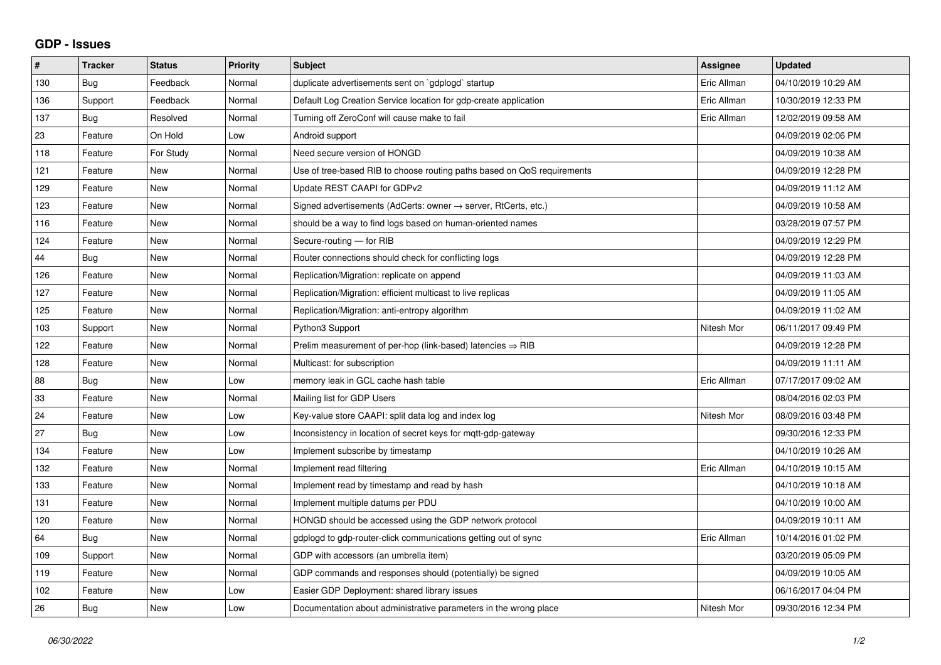## **GDP - Issues**

| #   | <b>Tracker</b> | <b>Status</b> | <b>Priority</b> | <b>Subject</b>                                                             | <b>Assignee</b> | <b>Updated</b>      |
|-----|----------------|---------------|-----------------|----------------------------------------------------------------------------|-----------------|---------------------|
| 130 | Bug            | Feedback      | Normal          | duplicate advertisements sent on `gdplogd` startup                         | Eric Allman     | 04/10/2019 10:29 AM |
| 136 | Support        | Feedback      | Normal          | Default Log Creation Service location for gdp-create application           | Eric Allman     | 10/30/2019 12:33 PM |
| 137 | Bug            | Resolved      | Normal          | Turning off ZeroConf will cause make to fail                               | Eric Allman     | 12/02/2019 09:58 AM |
| 23  | Feature        | On Hold       | Low             | Android support                                                            |                 | 04/09/2019 02:06 PM |
| 118 | Feature        | For Study     | Normal          | Need secure version of HONGD                                               |                 | 04/09/2019 10:38 AM |
| 121 | Feature        | <b>New</b>    | Normal          | Use of tree-based RIB to choose routing paths based on QoS requirements    |                 | 04/09/2019 12:28 PM |
| 129 | Feature        | <b>New</b>    | Normal          | Update REST CAAPI for GDPv2                                                |                 | 04/09/2019 11:12 AM |
| 123 | Feature        | New           | Normal          | Signed advertisements (AdCerts: owner $\rightarrow$ server, RtCerts, etc.) |                 | 04/09/2019 10:58 AM |
| 116 | Feature        | <b>New</b>    | Normal          | should be a way to find logs based on human-oriented names                 |                 | 03/28/2019 07:57 PM |
| 124 | Feature        | <b>New</b>    | Normal          | Secure-routing - for RIB                                                   |                 | 04/09/2019 12:29 PM |
| 44  | Bug            | <b>New</b>    | Normal          | Router connections should check for conflicting logs                       |                 | 04/09/2019 12:28 PM |
| 126 | Feature        | <b>New</b>    | Normal          | Replication/Migration: replicate on append                                 |                 | 04/09/2019 11:03 AM |
| 127 | Feature        | <b>New</b>    | Normal          | Replication/Migration: efficient multicast to live replicas                |                 | 04/09/2019 11:05 AM |
| 125 | Feature        | <b>New</b>    | Normal          | Replication/Migration: anti-entropy algorithm                              |                 | 04/09/2019 11:02 AM |
| 103 | Support        | New           | Normal          | Python3 Support                                                            | Nitesh Mor      | 06/11/2017 09:49 PM |
| 122 | Feature        | New           | Normal          | Prelim measurement of per-hop (link-based) latencies $\Rightarrow$ RIB     |                 | 04/09/2019 12:28 PM |
| 128 | Feature        | <b>New</b>    | Normal          | Multicast: for subscription                                                |                 | 04/09/2019 11:11 AM |
| 88  | Bug            | New           | Low             | memory leak in GCL cache hash table                                        | Eric Allman     | 07/17/2017 09:02 AM |
| 33  | Feature        | <b>New</b>    | Normal          | Mailing list for GDP Users                                                 |                 | 08/04/2016 02:03 PM |
| 24  | Feature        | <b>New</b>    | Low             | Key-value store CAAPI: split data log and index log                        | Nitesh Mor      | 08/09/2016 03:48 PM |
| 27  | Bug            | New           | Low             | Inconsistency in location of secret keys for mgtt-gdp-gateway              |                 | 09/30/2016 12:33 PM |
| 134 | Feature        | <b>New</b>    | Low             | Implement subscribe by timestamp                                           |                 | 04/10/2019 10:26 AM |
| 132 | Feature        | <b>New</b>    | Normal          | Implement read filtering                                                   | Eric Allman     | 04/10/2019 10:15 AM |
| 133 | Feature        | New           | Normal          | Implement read by timestamp and read by hash                               |                 | 04/10/2019 10:18 AM |
| 131 | Feature        | <b>New</b>    | Normal          | Implement multiple datums per PDU                                          |                 | 04/10/2019 10:00 AM |
| 120 | Feature        | <b>New</b>    | Normal          | HONGD should be accessed using the GDP network protocol                    |                 | 04/09/2019 10:11 AM |
| 64  | Bug            | New           | Normal          | gdplogd to gdp-router-click communications getting out of sync             | Eric Allman     | 10/14/2016 01:02 PM |
| 109 | Support        | <b>New</b>    | Normal          | GDP with accessors (an umbrella item)                                      |                 | 03/20/2019 05:09 PM |
| 119 | Feature        | <b>New</b>    | Normal          | GDP commands and responses should (potentially) be signed                  |                 | 04/09/2019 10:05 AM |
| 102 | Feature        | New           | Low             | Easier GDP Deployment: shared library issues                               |                 | 06/16/2017 04:04 PM |
| 26  | Bug            | New           | Low             | Documentation about administrative parameters in the wrong place           | Nitesh Mor      | 09/30/2016 12:34 PM |